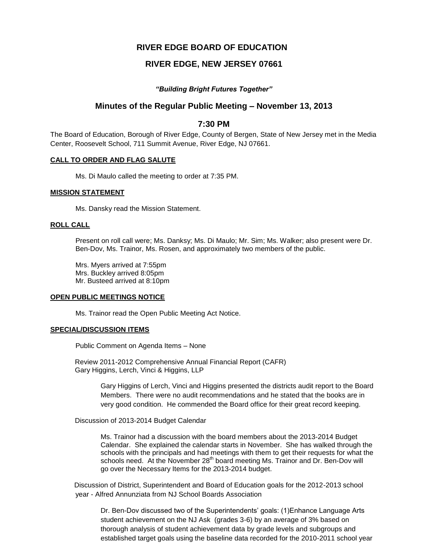# **RIVER EDGE BOARD OF EDUCATION**

# **RIVER EDGE, NEW JERSEY 07661**

### *"Building Bright Futures Together"*

## **Minutes of the Regular Public Meeting – November 13, 2013**

## **7:30 PM**

The Board of Education, Borough of River Edge, County of Bergen, State of New Jersey met in the Media Center, Roosevelt School, 711 Summit Avenue, River Edge, NJ 07661.

#### **CALL TO ORDER AND FLAG SALUTE**

Ms. Di Maulo called the meeting to order at 7:35 PM.

#### **MISSION STATEMENT**

Ms. Dansky read the Mission Statement.

#### **ROLL CALL**

Present on roll call were; Ms. Danksy; Ms. Di Maulo; Mr. Sim; Ms. Walker; also present were Dr. Ben-Dov, Ms. Trainor, Ms. Rosen, and approximately two members of the public.

Mrs. Myers arrived at 7:55pm Mrs. Buckley arrived 8:05pm Mr. Busteed arrived at 8:10pm

### **OPEN PUBLIC MEETINGS NOTICE**

Ms. Trainor read the Open Public Meeting Act Notice.

#### **SPECIAL/DISCUSSION ITEMS**

Public Comment on Agenda Items – None

 Review 2011-2012 Comprehensive Annual Financial Report (CAFR) Gary Higgins, Lerch, Vinci & Higgins, LLP

> Gary Higgins of Lerch, Vinci and Higgins presented the districts audit report to the Board Members. There were no audit recommendations and he stated that the books are in very good condition. He commended the Board office for their great record keeping.

Discussion of 2013-2014 Budget Calendar

Ms. Trainor had a discussion with the board members about the 2013-2014 Budget Calendar. She explained the calendar starts in November. She has walked through the schools with the principals and had meetings with them to get their requests for what the schools need. At the November 28<sup>th</sup> board meeting Ms. Trainor and Dr. Ben-Dov will go over the Necessary Items for the 2013-2014 budget.

Discussion of District, Superintendent and Board of Education goals for the 2012-2013 school year - Alfred Annunziata from NJ School Boards Association

Dr. Ben-Dov discussed two of the Superintendents' goals: (1)Enhance Language Arts student achievement on the NJ Ask (grades 3-6) by an average of 3% based on thorough analysis of student achievement data by grade levels and subgroups and established target goals using the baseline data recorded for the 2010-2011 school year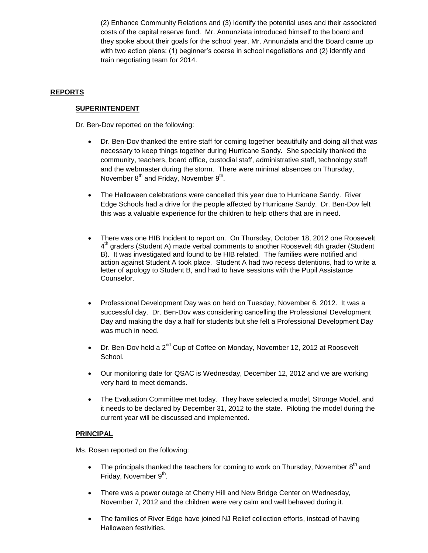(2) Enhance Community Relations and (3) Identify the potential uses and their associated costs of the capital reserve fund. Mr. Annunziata introduced himself to the board and they spoke about their goals for the school year. Mr. Annunziata and the Board came up with two action plans: (1) beginner's coarse in school negotiations and (2) identify and train negotiating team for 2014.

# **REPORTS**

## **SUPERINTENDENT**

Dr. Ben-Dov reported on the following:

- Dr. Ben-Dov thanked the entire staff for coming together beautifully and doing all that was necessary to keep things together during Hurricane Sandy. She specially thanked the community, teachers, board office, custodial staff, administrative staff, technology staff and the webmaster during the storm. There were minimal absences on Thursday, November  $8^{th}$  and Friday, November  $9^{th}$ .
- The Halloween celebrations were cancelled this year due to Hurricane Sandy. River Edge Schools had a drive for the people affected by Hurricane Sandy. Dr. Ben-Dov felt this was a valuable experience for the children to help others that are in need.
- There was one HIB Incident to report on. On Thursday, October 18, 2012 one Roosevelt 4<sup>th</sup> graders (Student A) made verbal comments to another Roosevelt 4th grader (Student B). It was investigated and found to be HIB related. The families were notified and action against Student A took place. Student A had two recess detentions, had to write a letter of apology to Student B, and had to have sessions with the Pupil Assistance Counselor.
- Professional Development Day was on held on Tuesday, November 6, 2012. It was a successful day. Dr. Ben-Dov was considering cancelling the Professional Development Day and making the day a half for students but she felt a Professional Development Day was much in need.
- Dr. Ben-Dov held a  $2^{nd}$  Cup of Coffee on Monday, November 12, 2012 at Roosevelt School.
- Our monitoring date for QSAC is Wednesday, December 12, 2012 and we are working very hard to meet demands.
- The Evaluation Committee met today. They have selected a model, Stronge Model, and it needs to be declared by December 31, 2012 to the state. Piloting the model during the current year will be discussed and implemented.

## **PRINCIPAL**

Ms. Rosen reported on the following:

- The principals thanked the teachers for coming to work on Thursday, November  $8<sup>th</sup>$  and Friday, November 9<sup>th</sup>.
- There was a power outage at Cherry Hill and New Bridge Center on Wednesday, November 7, 2012 and the children were very calm and well behaved during it.
- The families of River Edge have joined NJ Relief collection efforts, instead of having Halloween festivities.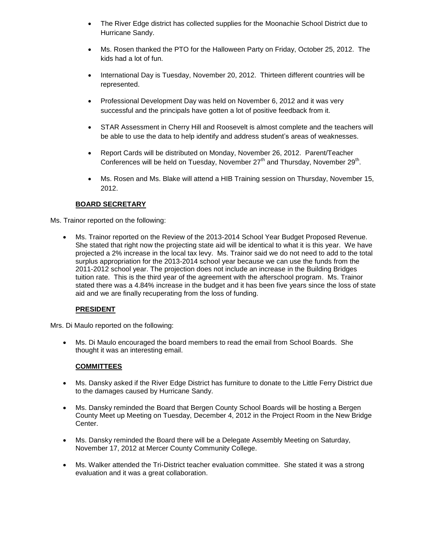- The River Edge district has collected supplies for the Moonachie School District due to Hurricane Sandy.
- Ms. Rosen thanked the PTO for the Halloween Party on Friday, October 25, 2012. The kids had a lot of fun.
- International Day is Tuesday, November 20, 2012. Thirteen different countries will be represented.
- Professional Development Day was held on November 6, 2012 and it was very successful and the principals have gotten a lot of positive feedback from it.
- STAR Assessment in Cherry Hill and Roosevelt is almost complete and the teachers will be able to use the data to help identify and address student's areas of weaknesses.
- Report Cards will be distributed on Monday, November 26, 2012. Parent/Teacher Conferences will be held on Tuesday, November 27<sup>th</sup> and Thursday, November 29<sup>th</sup>.
- Ms. Rosen and Ms. Blake will attend a HIB Training session on Thursday, November 15, 2012.

# **BOARD SECRETARY**

Ms. Trainor reported on the following:

 Ms. Trainor reported on the Review of the 2013-2014 School Year Budget Proposed Revenue. She stated that right now the projecting state aid will be identical to what it is this year. We have projected a 2% increase in the local tax levy. Ms. Trainor said we do not need to add to the total surplus appropriation for the 2013-2014 school year because we can use the funds from the 2011-2012 school year. The projection does not include an increase in the Building Bridges tuition rate. This is the third year of the agreement with the afterschool program. Ms. Trainor stated there was a 4.84% increase in the budget and it has been five years since the loss of state aid and we are finally recuperating from the loss of funding.

## **PRESIDENT**

Mrs. Di Maulo reported on the following:

 Ms. Di Maulo encouraged the board members to read the email from School Boards. She thought it was an interesting email.

## **COMMITTEES**

- Ms. Dansky asked if the River Edge District has furniture to donate to the Little Ferry District due to the damages caused by Hurricane Sandy.
- Ms. Dansky reminded the Board that Bergen County School Boards will be hosting a Bergen County Meet up Meeting on Tuesday, December 4, 2012 in the Project Room in the New Bridge Center.
- Ms. Dansky reminded the Board there will be a Delegate Assembly Meeting on Saturday, November 17, 2012 at Mercer County Community College.
- Ms. Walker attended the Tri-District teacher evaluation committee. She stated it was a strong evaluation and it was a great collaboration.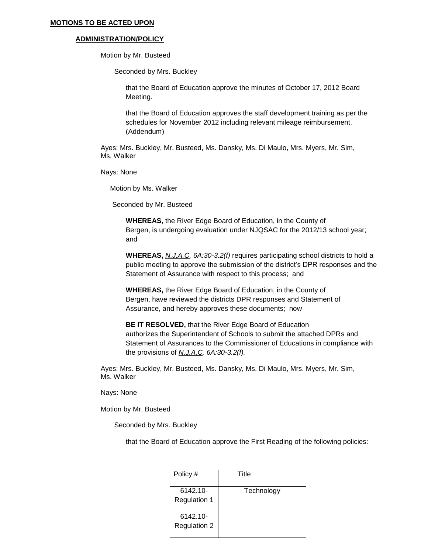#### **MOTIONS TO BE ACTED UPON**

#### **ADMINISTRATION/POLICY**

Motion by Mr. Busteed

Seconded by Mrs. Buckley

that the Board of Education approve the minutes of October 17, 2012 Board Meeting.

that the Board of Education approves the staff development training as per the schedules for November 2012 including relevant mileage reimbursement. (Addendum)

Ayes: Mrs. Buckley, Mr. Busteed, Ms. Dansky, Ms. Di Maulo, Mrs. Myers, Mr. Sim, Ms. Walker

Nays: None

Motion by Ms. Walker

Seconded by Mr. Busteed

**WHEREAS**, the River Edge Board of Education, in the County of Bergen, is undergoing evaluation under NJQSAC for the 2012/13 school year; and

**WHEREAS,** *N.J.A.C. 6A:30-3.2(f)* requires participating school districts to hold a public meeting to approve the submission of the district's DPR responses and the Statement of Assurance with respect to this process; and

**WHEREAS,** the River Edge Board of Education, in the County of Bergen, have reviewed the districts DPR responses and Statement of Assurance, and hereby approves these documents; now

**BE IT RESOLVED,** that the River Edge Board of Education authorizes the Superintendent of Schools to submit the attached DPRs and Statement of Assurances to the Commissioner of Educations in compliance with the provisions of *N.J.A.C. 6A:30-3.2(f).*

Ayes: Mrs. Buckley, Mr. Busteed, Ms. Dansky, Ms. Di Maulo, Mrs. Myers, Mr. Sim, Ms. Walker

Nays: None

Motion by Mr. Busteed

Seconded by Mrs. Buckley

that the Board of Education approve the First Reading of the following policies:

| Policy #                        | Title      |
|---------------------------------|------------|
| 6142.10-<br><b>Regulation 1</b> | Technology |
| 6142.10-<br><b>Regulation 2</b> |            |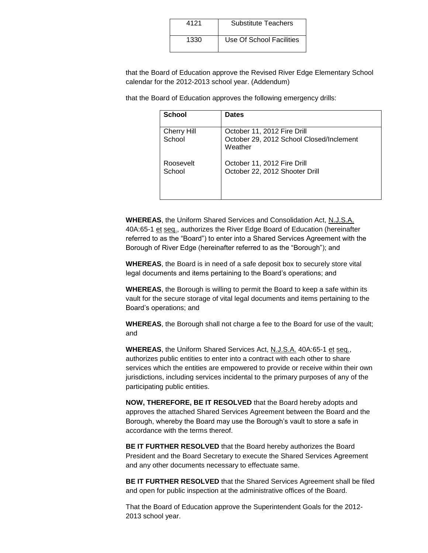| 4121 | <b>Substitute Teachers</b> |
|------|----------------------------|
| 1330 | Use Of School Facilities   |

that the Board of Education approve the Revised River Edge Elementary School calendar for the 2012-2013 school year. (Addendum)

that the Board of Education approves the following emergency drills:

| <b>School</b>                | <b>Dates</b>                                                                       |
|------------------------------|------------------------------------------------------------------------------------|
| <b>Cherry Hill</b><br>School | October 11, 2012 Fire Drill<br>October 29, 2012 School Closed/Inclement<br>Weather |
| Roosevelt<br>School          | October 11, 2012 Fire Drill<br>October 22, 2012 Shooter Drill                      |

**WHEREAS**, the Uniform Shared Services and Consolidation Act, N.J.S.A. 40A:65-1 et seq., authorizes the River Edge Board of Education (hereinafter referred to as the "Board") to enter into a Shared Services Agreement with the Borough of River Edge (hereinafter referred to as the "Borough"); and

**WHEREAS**, the Board is in need of a safe deposit box to securely store vital legal documents and items pertaining to the Board's operations; and

**WHEREAS**, the Borough is willing to permit the Board to keep a safe within its vault for the secure storage of vital legal documents and items pertaining to the Board's operations; and

**WHEREAS**, the Borough shall not charge a fee to the Board for use of the vault; and

**WHEREAS**, the Uniform Shared Services Act, N.J.S.A. 40A:65-1 et seq., authorizes public entities to enter into a contract with each other to share services which the entities are empowered to provide or receive within their own jurisdictions, including services incidental to the primary purposes of any of the participating public entities.

**NOW, THEREFORE, BE IT RESOLVED** that the Board hereby adopts and approves the attached Shared Services Agreement between the Board and the Borough, whereby the Board may use the Borough's vault to store a safe in accordance with the terms thereof.

**BE IT FURTHER RESOLVED** that the Board hereby authorizes the Board President and the Board Secretary to execute the Shared Services Agreement and any other documents necessary to effectuate same.

**BE IT FURTHER RESOLVED** that the Shared Services Agreement shall be filed and open for public inspection at the administrative offices of the Board.

That the Board of Education approve the Superintendent Goals for the 2012- 2013 school year.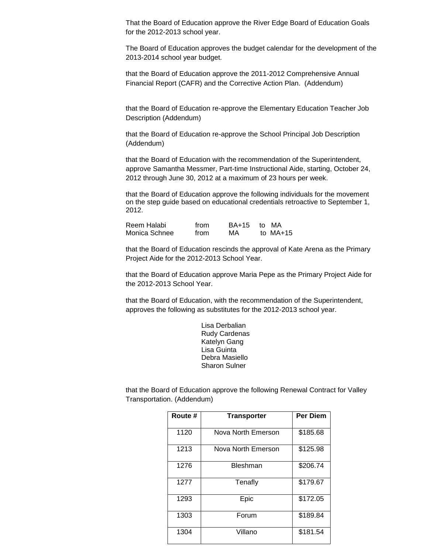That the Board of Education approve the River Edge Board of Education Goals for the 2012-2013 school year.

The Board of Education approves the budget calendar for the development of the 2013-2014 school year budget.

that the Board of Education approve the 2011-2012 Comprehensive Annual Financial Report (CAFR) and the Corrective Action Plan. (Addendum)

that the Board of Education re-approve the Elementary Education Teacher Job Description (Addendum)

that the Board of Education re-approve the School Principal Job Description (Addendum)

that the Board of Education with the recommendation of the Superintendent, approve Samantha Messmer, Part-time Instructional Aide, starting, October 24, 2012 through June 30, 2012 at a maximum of 23 hours per week.

that the Board of Education approve the following individuals for the movement on the step guide based on educational credentials retroactive to September 1, 2012.

| Reem Halabi   | from | BA+15 to MA |            |
|---------------|------|-------------|------------|
| Monica Schnee | from | МA          | to $MA+15$ |

that the Board of Education rescinds the approval of Kate Arena as the Primary Project Aide for the 2012-2013 School Year.

that the Board of Education approve Maria Pepe as the Primary Project Aide for the 2012-2013 School Year.

that the Board of Education, with the recommendation of the Superintendent, approves the following as substitutes for the 2012-2013 school year.

> Lisa Derbalian Rudy Cardenas Katelyn Gang Lisa Guinta Debra Masiello Sharon Sulner

that the Board of Education approve the following Renewal Contract for Valley Transportation. (Addendum)

| Route # | <b>Transporter</b> | <b>Per Diem</b> |
|---------|--------------------|-----------------|
| 1120    | Nova North Emerson | \$185.68        |
| 1213    | Nova North Emerson | \$125.98        |
| 1276    | Bleshman           | \$206.74        |
| 1277    | Tenafly            | \$179.67        |
| 1293    | Epic               | \$172.05        |
| 1303    | Forum              | \$189.84        |
| 1304    | Villano            | \$181.54        |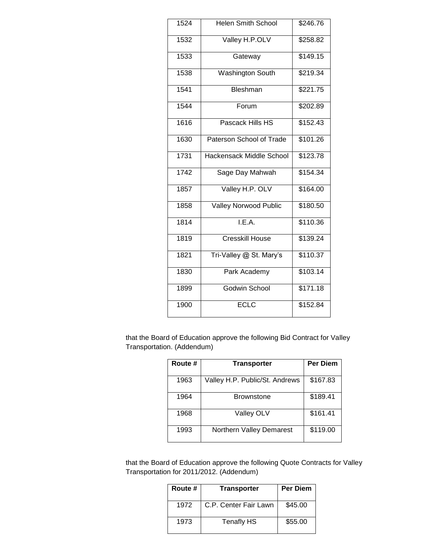| 1524 | <b>Helen Smith School</b> | \$246.76 |
|------|---------------------------|----------|
| 1532 | Valley H.P.OLV            | \$258.82 |
| 1533 | Gateway                   | \$149.15 |
| 1538 | <b>Washington South</b>   | \$219.34 |
| 1541 | Bleshman                  | \$221.75 |
| 1544 | Forum                     | \$202.89 |
| 1616 | Pascack Hills HS          | \$152.43 |
| 1630 | Paterson School of Trade  | \$101.26 |
| 1731 | Hackensack Middle School  | \$123.78 |
| 1742 | Sage Day Mahwah           | \$154.34 |
| 1857 | Valley H.P. OLV           | \$164.00 |
| 1858 | Valley Norwood Public     | \$180.50 |
| 1814 | LE.A.                     | \$110.36 |
| 1819 | <b>Cresskill House</b>    | \$139.24 |
| 1821 | Tri-Valley @ St. Mary's   | \$110.37 |
| 1830 | Park Academy              | \$103.14 |
| 1899 | Godwin School             | \$171.18 |
| 1900 | <b>ECLC</b>               | \$152.84 |
|      |                           |          |

that the Board of Education approve the following Bid Contract for Valley Transportation. (Addendum)

| Route # | <b>Transporter</b>             | <b>Per Diem</b> |
|---------|--------------------------------|-----------------|
|         |                                |                 |
| 1963    | Valley H.P. Public/St. Andrews | \$167.83        |
| 1964    | <b>Brownstone</b>              | \$189.41        |
| 1968    | Valley OLV                     | \$161.41        |
| 1993    | Northern Valley Demarest       | \$119.00        |

that the Board of Education approve the following Quote Contracts for Valley Transportation for 2011/2012. (Addendum)

| Route # | <b>Transporter</b>    | <b>Per Diem</b> |
|---------|-----------------------|-----------------|
| 1972    | C.P. Center Fair Lawn | \$45.00         |
| 1973    | <b>Tenafly HS</b>     | \$55.00         |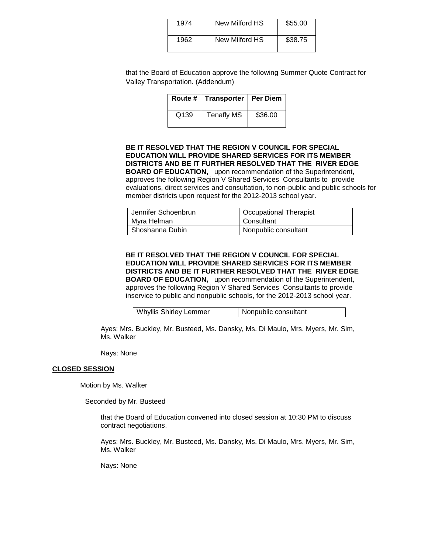| 1974 | New Milford HS | \$55.00 |
|------|----------------|---------|
| 1962 | New Milford HS | \$38.75 |

that the Board of Education approve the following Summer Quote Contract for Valley Transportation. (Addendum)

|                  | Route #   Transporter   Per Diem |         |
|------------------|----------------------------------|---------|
| Q <sub>139</sub> | <b>Tenafly MS</b>                | \$36.00 |

### **BE IT RESOLVED THAT THE REGION V COUNCIL FOR SPECIAL EDUCATION WILL PROVIDE SHARED SERVICES FOR ITS MEMBER DISTRICTS AND BE IT FURTHER RESOLVED THAT THE RIVER EDGE BOARD OF EDUCATION,** upon recommendation of the Superintendent, approves the following Region V Shared Services Consultants to provide

evaluations, direct services and consultation, to non-public and public schools for member districts upon request for the 2012-2013 school year.

| Jennifer Schoenbrun | <b>Occupational Therapist</b> |
|---------------------|-------------------------------|
| Myra Helman         | Consultant                    |
| Shoshanna Dubin     | Nonpublic consultant          |

**BE IT RESOLVED THAT THE REGION V COUNCIL FOR SPECIAL EDUCATION WILL PROVIDE SHARED SERVICES FOR ITS MEMBER DISTRICTS AND BE IT FURTHER RESOLVED THAT THE RIVER EDGE BOARD OF EDUCATION,** upon recommendation of the Superintendent, approves the following Region V Shared Services Consultants to provide inservice to public and nonpublic schools, for the 2012-2013 school year.

| <b>Whyllis Shirley Lemmer</b><br>Nonpublic consultant |
|-------------------------------------------------------|
|-------------------------------------------------------|

Ayes: Mrs. Buckley, Mr. Busteed, Ms. Dansky, Ms. Di Maulo, Mrs. Myers, Mr. Sim, Ms. Walker

Nays: None

#### **CLOSED SESSION**

Motion by Ms. Walker

Seconded by Mr. Busteed

that the Board of Education convened into closed session at 10:30 PM to discuss contract negotiations.

Ayes: Mrs. Buckley, Mr. Busteed, Ms. Dansky, Ms. Di Maulo, Mrs. Myers, Mr. Sim, Ms. Walker

Nays: None